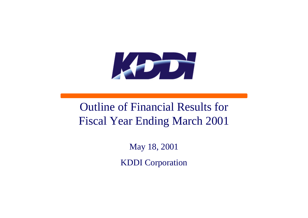

# Outline of Financial Results for Fiscal Year Ending March 2001

May 18, 2001

KDDI Corporation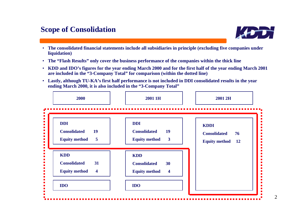# **Scope of Consolidation**

•

- **The consolidated financial statements include all subsidiaries in principle (excluding five companies under liquidation)**
- •**The "Flash Results" only cover the business performance of the companies within the thick line**
- $\bullet$  **KDD and IDO's figures for the year ending March 2000 and for the first half of the year ending March 2001 are included in the "3-Company Total" for comparison (within the dotted line)**
- $\bullet$  **Lastly, although TU-KA's first half performance is not included in DDI consolidated results in the year ending March 2000, it is also included in the "3-Company Total"**



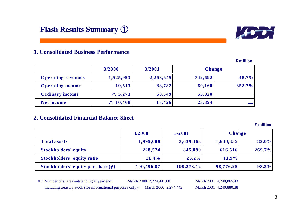

### **1. Consolidated Business Performance**

|                           | 3/2000            | 3/2001    | <b>Change</b> |        |
|---------------------------|-------------------|-----------|---------------|--------|
| <b>Operating revenues</b> | 1,525,953         | 2,268,645 | 742,692       | 48.7%  |
| <b>Operating income</b>   | 19,613            | 88,782    | 69,168        | 352.7% |
| <b>Ordinary income</b>    | $\triangle$ 5,271 | 50,549    | 55,820        |        |
| <b>Net income</b>         | 10,468            | 13,426    | 23,894        |        |

### **2. Consolidated Financial Balance Sheet**

**¥ million**

|                                                     | 3/2000     | 3/2001     | <b>Change</b> |           |
|-----------------------------------------------------|------------|------------|---------------|-----------|
| <b>Total assets</b>                                 | 1,999,008  | 3,639,363  | 1,640,355     | 82.0%     |
| <b>Stockholders' equity</b>                         | 228,574    | 845,090    | 616,516       | $269.7\%$ |
| Stockholders' equity ratio                          | 11.4%      | 23.2%      | 11.9%         |           |
| Stockholders' equity per share $(\frac{\gamma}{2})$ | 100,496.87 | 199,273.12 | 98,776.25     | 98.3%     |

\*: Number of shares outstanding at year end: March 2000 2,274,441.60 March 2001 4,240,865.43 Including treasury stock (for informational purposes only): March 2000 2,274,442 March 2001 4,240,880.38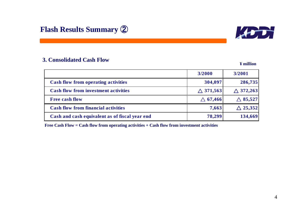



### **3. Consolidated Cash Flow**

**¥ million**

|                                                | 3/2000             | 3/2001             |
|------------------------------------------------|--------------------|--------------------|
| <b>Cash flow from operating activities</b>     | 304,097            | 286,735            |
| <b>Cash flow from investment activities</b>    | $\wedge$ 371,563   | $\wedge$ 372,263   |
| <b>Free cash flow</b>                          | $\triangle$ 67,466 | $\triangle$ 85,527 |
| <b>Cash flow from financial activities</b>     | 7,663              | $\triangle$ 25,352 |
| Cash and cash equivalent as of fiscal year end | 78,299             | 134,669            |

**Free Cash Flow = Cash flow from operating activities + Cash flow from investment activities**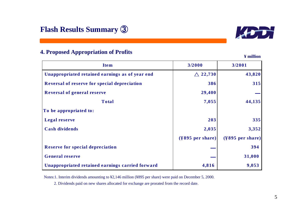

### **4. Proposed Appropriation of Profits**

**¥ million**

| <b>Item</b>                                      | 3/2000                       | 3/2001                       |
|--------------------------------------------------|------------------------------|------------------------------|
| Unappropriated retained earnings as of year end  | $\triangle$ 22,730           | 43,820                       |
| Reversal of reserve for special depreciation     | 386                          | 315                          |
| <b>Reversal of general reserve</b>               | 29,400                       |                              |
| <b>Total</b>                                     | 7,055                        | 44,135                       |
| To be appropriated to:                           |                              |                              |
| <b>Legal reserve</b>                             | 203                          | 335                          |
| <b>Cash dividends</b>                            | 2,035                        | 3,352                        |
|                                                  | $(\frac{4895}{9}$ per share) | $(\frac{4895}{9}$ per share) |
| <b>Reserve for special depreciation</b>          |                              | 394                          |
| <b>General reserve</b>                           |                              | 31,000                       |
| Unappropriated retained earnings carried forward | 4,816                        | 9,053                        |

Notes:1. Interim dividends amounting to ¥2,146 million (¥895 per share) were paid on December 5, 2000.

2. Dividends paid on new shares allocated for exchange are prorated from the record date.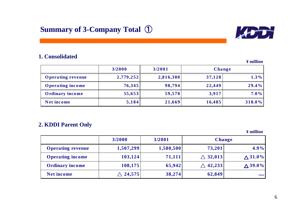

### **1. Consolidated**

**¥ million**

|                          | 3/2000    | 3/2001    | Change |         |  |
|--------------------------|-----------|-----------|--------|---------|--|
| <b>Operating revenue</b> | 2,779,252 | 2,816,380 | 37,128 | $1.3\%$ |  |
| <b>Operating income</b>  | 76,345    | 98,794    | 22,449 | 29.4%   |  |
| <b>Ordinary income</b>   | 55,653    | 59,570    | 3,917  | $7.0\%$ |  |
| Net income               | 5,184     | 21,669    | 16,485 | 318.0%  |  |

### **2. KDDI Parent Only**

|                          | 3/2000             | 3/2001    |                    | <b>Change</b>      |
|--------------------------|--------------------|-----------|--------------------|--------------------|
| <b>Operating revenue</b> | 1,507,299          | 1,580,500 | 73,201             | $4.9\%$            |
| <b>Operating income</b>  | 103,124            | 71,111    | $\triangle$ 32,013 | $\triangle 31.0\%$ |
| <b>Ordinary income</b>   | 108,175            | 65,942    | 42,233             | $\triangle 39.0\%$ |
| <b>Net income</b>        | $\triangle$ 24,575 | 38,274    | 62,849             |                    |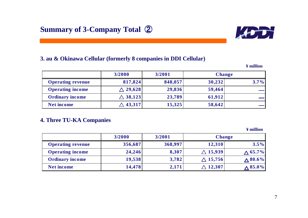

### **3. au & Okinawa Cellular (formerly 8 companies in DDI Cellular)**

**¥ million**

|                          | 3/2000          | 3/2001  | <b>Change</b> |         |
|--------------------------|-----------------|---------|---------------|---------|
| <b>Operating revenue</b> | 817,824         | 848,057 | 30,232        | $3.7\%$ |
| <b>Operating income</b>  | $\wedge$ 29,628 | 29,836  | 59,464        |         |
| <b>Ordinary income</b>   | $\wedge$ 38,123 | 23,789  | 61,912        |         |
| <b>Net income</b>        | 43,317          | 15,325  | 58,642        |         |

### **4. Three TU-KA Companies**

|                          | 3/2000  | 3/2001  | <b>Change</b>      |                 |
|--------------------------|---------|---------|--------------------|-----------------|
| <b>Operating revenue</b> | 356,687 | 368,997 | 12,310             | $3.5\%$         |
| <b>Operating income</b>  | 24,246  | 8,307   | $\triangle$ 15,939 | $\wedge 65.7\%$ |
| <b>Ordinary income</b>   | 19,538  | 3,782   | $\wedge$ 15,756    | $\wedge 80.6\%$ |
| <b>Net income</b>        | 14,478  | 2,171   | $\Delta$ 12,307    | $\wedge 85.0\%$ |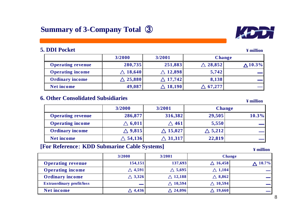### **5. DDI Poc**

| <b>DI Pocket</b>         |             |                    |                        | ¥ million       |
|--------------------------|-------------|--------------------|------------------------|-----------------|
|                          | 3/2000      | 3/2001             | <b>Change</b>          |                 |
| <b>Operating revenue</b> | 280,735     | 251,883            | $\triangle$ 28,852 $ $ | $\Lambda$ 10.3% |
| <b>Operating income</b>  | 18,640      | $\triangle$ 12,898 | 5,742                  |                 |
| <b>Ordinary income</b>   | 25,880<br>Λ | $\triangle$ 17,742 | 8,138                  |                 |
| <b>Net income</b>        | 49,087      | 18,190             | 67,277                 |                 |

### **6. Other Consolidated Subsidiaries**

| <u>Uther Consondated Bubstural its</u> |                    |                    |                | ¥ million |
|----------------------------------------|--------------------|--------------------|----------------|-----------|
|                                        | 3/2000<br>3/2001   |                    | <b>Change</b>  |           |
| <b>Operating revenue</b>               | 286,877            | 316,382            | 29,505         | 10.3%     |
| <b>Operating income</b>                | $\triangle$ 6,011  | $\wedge$ 461       | 5,550          |           |
| <b>Ordinary income</b>                 | $\wedge$ 9,815     | $\wedge$ 15,027    | $\wedge$ 5,212 |           |
| <b>Net income</b>                      | $\triangle$ 54,136 | $\triangle$ 31,317 | 22,819         |           |

### **[For Reference**: **KDD Submarine Cable Systems]**

**¥ million**

|                                  | 3/2000            | 3/2001            | <b>Change</b>     |          |
|----------------------------------|-------------------|-------------------|-------------------|----------|
| <b>Operating revenue</b>         | 154,151           | 137,693           | $\wedge$ 16,458   | $10.7\%$ |
| <b>Operating income</b>          | $\triangle$ 4,591 | $\triangle$ 5,695 | $\triangle$ 1,104 |          |
| <b>Ordinary income</b>           | $\triangle$ 3,326 | $\wedge$ 12,188   | $\triangle$ 8,862 |          |
| <b>Extraordinary profit/loss</b> |                   | $\wedge$ 10,594   | $\wedge$ 10,594   |          |
| <b>Net income</b>                | $\triangle$ 4,436 | $\wedge$ 24,096   | $\wedge$ 19,660   |          |

ion

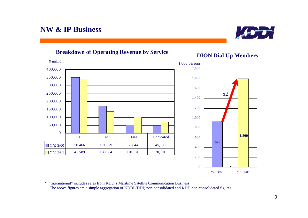# **Breakdown of Operating Revenue by Service DION Dial Up Members**





\* "International" includes sales from KDD's Maritime Satellite Communication BusinessThe above figures are a simple aggregation of KDDI (DDI) non-consolidated and KDD non-consolidated figures

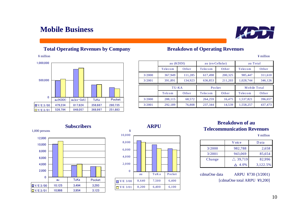## **Mobile Business**

### **Total Operating Revenues by Company**

¥ million



**Subscribers**



### **Breakdown of Operating Revenues**

¥ million

|        | au (KDDI) |         | au (ex-Cellular) |         |           | au Total     |
|--------|-----------|---------|------------------|---------|-----------|--------------|
|        | Telecom   | Other   | Telecom          | Other   | Telecom   | Other        |
| 3/2000 | 367,949   | 111,285 | 617,498          | 200,325 | 985,447   | 311,610      |
| 3/2001 | 391.891   | 134,923 | 636,853          | 211,203 | 1,028,744 | 346,126      |
|        | TU-KA     |         |                  | Pocket  |           | Mobile Total |
|        | Telcom    | Other   | Telecom          | Other   | Telecom   | Other        |
| 3/2000 | 288,115   | 68,572  | 264,259          | 16,475  | 1,537,821 | 396,657      |
| 3/2001 | 292,189   | 76,808  | 237,344          | 14,539  | 1,558,257 | 437,473      |

### **Breakdown of auTelecommunication Revenues**

¥ million

|        | V oice             | D ata    |
|--------|--------------------|----------|
| 3/2000 | 982,788            | 2,658    |
| 3/2001 | 943,069            | 85,654   |
| Change | $\triangle$ 39,719 | 82,996   |
|        | 4.0%               | 3,122.5% |

cdmaOne data ARPU ¥730 (3/2001) [cdmaOne total ARPU ¥9,200]





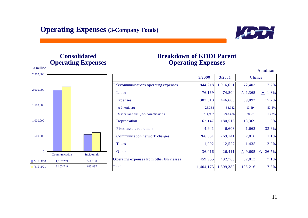

### **Consolidated Operating Expenses**

¥ million

2,500,000

0

500,000

 $\boxed{\blacksquare Y/E}$  3/00

 $Y/E$  3/01

1,000,000

1,500,000

2,000,000

### **Breakdown of KDDI Parent Operating Expenses**

|               |  |                    |                                          |           |           |                | $\pm$ multion    |
|---------------|--|--------------------|------------------------------------------|-----------|-----------|----------------|------------------|
|               |  |                    |                                          | 3/2000    | 3/2001    | Change         |                  |
|               |  |                    | Telecommunications operating expenses    | 944,218   | 1,016,621 | 72,403         | 7.7%             |
|               |  |                    | Labor                                    | 76,169    | 74,804    | $\wedge$ 1,365 | 1.8%<br>$\wedge$ |
|               |  |                    | <b>Expenses</b>                          | 387,510   | 446,603   | 59,093         | 15.2%            |
|               |  |                    | Advertising                              | 25,388    | 38,982    | 13,594         | 53.5%            |
|               |  |                    | Miscellaneous (inc. commission)          | 214,907   | 243,486   | 28,579         | 13.3%            |
|               |  |                    | Depreciation                             | 162,147   | 180,516   | 18,369         | 11.3%            |
|               |  |                    | Fixed assets retirement                  | 4,941     | 6,603     | 1,662          | 33.6%            |
|               |  |                    | Communication network charges            | 266,331   | 269,141   | 2,810          | 1.1%             |
|               |  |                    | <b>Taxes</b>                             | 11,092    | 12,527    | 1,435          | 12.9%            |
| Communication |  | <b>Incidentals</b> | Others                                   | 36,016    | 26,411    | $\wedge$ 9,605 | 26.7%<br>Δ       |
| 1,982,269     |  | 560,100            | Operating expenses from other businesses | 459,955   | 492,768   | 32,813         | 7.1%             |
| 2,103,749     |  | 613,837            | Total                                    | 1,404,173 | 1,509,389 | 105,216        | 7.5%             |

 $\overline{Y}$  million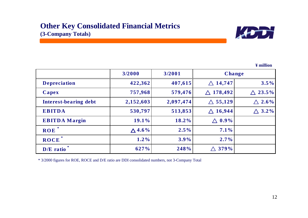

**¥ million**

|                       | 3/2000           | 3/2001    |                       | <b>Change</b>      |
|-----------------------|------------------|-----------|-----------------------|--------------------|
| <b>Depreciation</b>   | 422,362          | 407,615   | $\triangle$ 14,747    | $3.5\%$            |
| Capex                 | 757,968          | 579,476   | $\triangle$ 178,492   | $\triangle 23.5\%$ |
| Interest-bearing debt | 2,152,603        | 2,097,474 | $\triangle$ 55,129    | $\wedge 2.6\%$     |
| <b>EBITDA</b>         | 530,797          | 513,853   | 16,944<br>$\bigwedge$ | $\wedge$ 3.2%      |
| <b>EBITDA</b> Margin  | 19.1%            | 18.2%     | $0.9\%$               |                    |
| ∗<br><b>ROE</b>       | $\triangle$ 4.6% | $2.5\%$   | $7.1\%$               |                    |
| ROCE                  | $1.2\%$          | $3.9\%$   | $2.7\%$               |                    |
| D/E ratio             | 627%             | 248%      | 379%                  |                    |

\* 3/2000 figures for ROE, ROCE and D/E ratio are DDI consolidated numbers, not 3-Company Total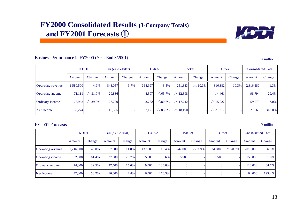## **FY2000 Consolidated Results (3-Company Totals) and FY2001 Forecasts**  ①



### Business Performance in FY2000 (Year End 3/2001)

¥ million

|                   | <b>KDDI</b> |                | au (ex-Cellular) |        | TU-KA   |                 | Pocket          |                | Other              |        | <b>Consolidated Total</b> |        |
|-------------------|-------------|----------------|------------------|--------|---------|-----------------|-----------------|----------------|--------------------|--------|---------------------------|--------|
|                   | Amount      | Change         | Amount           | Change | Amount  | Change          | Amount          | Change         | Amount             | Change | Amount                    | Change |
| Operating revenue | 1.580.500   | 4.9%           | 848,057          | 3.7%   | 368,997 | 3.5%            | 251,883         | $\wedge$ 10.3% | 316,382            | 10.3%  | 2,816,380                 | 1.3%   |
| Operating income  | 71.111      | $\wedge$ 31.0% | 29,836           |        | 8,307   | $\wedge$ 65.7%  | $\wedge$ 12,898 |                | $\wedge$ 461       |        | 98,794                    | 29.4%  |
| Ordinary income   | 65.942      | $\wedge$ 39.0% | 23,789           |        | 3,782   | $\wedge 80.6\%$ | $\wedge$ 17,742 |                | $\wedge$ 15,027    |        | 59,570                    | 7.0%   |
| Net income        | 38,274      |                | 15,325           |        | 2,171   | $\wedge$ 85.0%  | $\wedge$ 18,190 |                | $\triangle$ 31,317 |        | 21,669                    | 318.0% |

### FY2001 Forecasts

|                   | <b>KDDI</b>    |        | au (ex-Cellular) |        | TU-KA          |        | Pocket  |               | Other   |                | <b>Consolidated Total</b> |        |
|-------------------|----------------|--------|------------------|--------|----------------|--------|---------|---------------|---------|----------------|---------------------------|--------|
|                   | <b>A</b> mount | Change | Amount           | Change | <b>A</b> mount | Change | Amount  | Change        | Amount  | Change         | Amount                    | Change |
| Operating revenue | 1.716.000      | 49.0%  | 967,000          | 14.0%  | 437,000        | 18.4%  | 242,000 | $\wedge$ 3.9% | 248,000 | $\wedge$ 20.7% | 3,010,000                 | 6.9%   |
| Operating income  | 92,000         | 61.4%  | 37.500           | 25.7%  | 15,000         | 80.6%  | 5,500   |               | .500    |                | 150,000                   | 51.8%  |
| Ordinary income   | 74,000         | 39.5%  | 27,500           | 15.6%  | 9,000          | 138.0% |         |               |         |                | 110,000                   | 84.7%  |
| Net income        | 42,000         | 58.2%  | 16,000           | 4.4%   | 6,000          | 176.3% |         |               |         |                | 64,000                    | 195.4% |